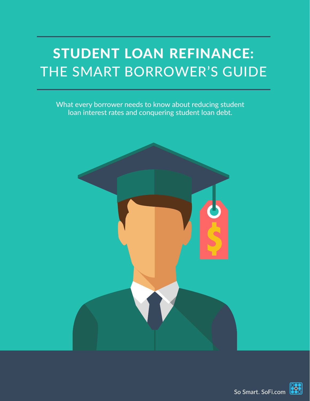# STUDENT LOAN REFINANCE: THE SMART BORROWER'S GUIDE

What every borrower needs to know about reducing student loan interest rates and conquering student loan debt.



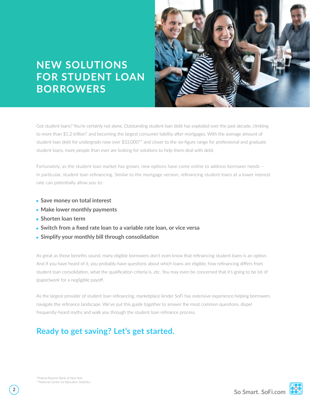# **NEW SOLUTIONS FOR STUDENT LOAN BORROWERS**



Got student loans? You're certainly not alone. Outstanding student loan debt has exploded over the past decade, climbing to more than \$1.2 trillion<sup>\*</sup> and becoming the largest consumer liability after mortgages. With the average amount of student loan debt for undergrads now over \$33,000\*\* and closer to the six-figure range for professional and graduate student loans, more people than ever are looking for solutions to help them deal with debt.

Fortunately, as the student loan market has grown, new options have come online to address borrower needs – in particular, student loan refinancing. Similar to the mortgage version, refinancing student loans at a lower interest rate can potentially allow you to:

- **Save money on total interest**
- **Make lower monthly payments**
- **Shorten loan term**
- **Switch from a fixed rate loan to a variable rate loan, or vice versa**
- **Simplify your monthly bill through consolidation**

As great as those benefits sound, many eligible borrowers don't even know that refinancing student loans is an option. And if you have heard of it, you probably have questions about which loans are eligible, how refinancing differs from student loan consolidation, what the qualification criteria is, etc. You may even be concerned that it's going to be lot of (paper)work for a negligible payoff.

As the largest provider of student loan refinancing, marketplace lender SoFi has extensive experience helping borrowers navigate the refinance landscape. We've put this guide together to answer the most common questions, dispel frequently-heard myths and walk you through the student loan refinance process.

## **Ready to get saving? Let's get started.**

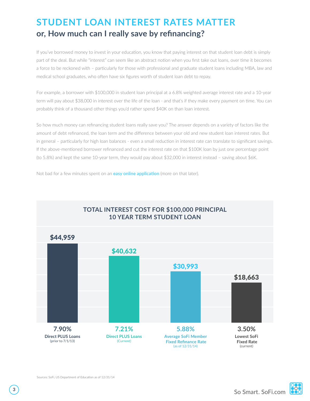# **STUDENT LOAN INTEREST RATES MATTER or, How much can I really save by refinancing?**

If you've borrowed money to invest in your education, you know that paying interest on that student loan debt is simply part of the deal. But while "interest" can seem like an abstract notion when you first take out loans, over time it becomes a force to be reckoned with – particularly for those with professional and graduate student loans including MBA, law and medical school graduates, who often have six figures worth of student loan debt to repay.

For example, a borrower with \$100,000 in student loan principal at a 6.8% weighted average interest rate and a 10-year term will pay about \$38,000 in interest over the life of the loan - and that's if they make every payment on time. You can probably think of a thousand other things you'd rather spend \$40K on than loan interest.

So how much money can refinancing student loans really save you? The answer depends on a variety of factors like the amount of debt refinanced, the loan term and the difference between your old and new student loan interest rates. But in general – particularly for high loan balances - even a small reduction in interest rate can translate to significant savings. If the above-mentioned borrower refinanced and cut the interest rate on that \$100K loan by just one percentage point (to 5.8%) and kept the same 10-year term, they would pay about \$32,000 in interest instead – saving about \$6K.

Not bad for a few minutes spent on an **[easy online application](https://www.sofi.com/b/registration?utm_source=whitepage&utm_medium=pdf&utm_content=easy%20online%20application&utm_campaign=studentrefiguide)** (more on that later).

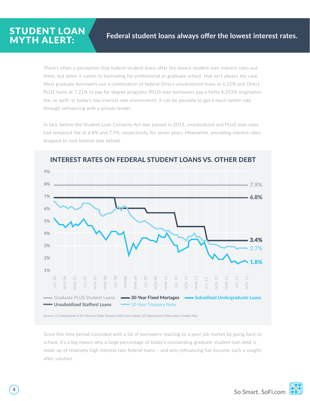There's often a perception that federal student loans offer the lowest student loan interest rates out there, but when it comes to borrowing for professional or graduate school, that isn't always the case. Most graduate borrowers use a combination of federal Direct unsubsidized loans at 6.21% and Direct PLUS loans at 7.21% to pay for degree programs (PLUS loan borrowers pay a hefty 4.292% origination fee, as well). In today's low interest rate environment, it can be possible to get a much better rate through refinancing with a private lender.

In fact, before the Student Loan Certainty Act was passed in 2013, unsubsidized and PLUS loan rates had remained flat at 6.8% and 7.9%, respectively, for seven years. Meanwhile, prevailing interest rates dropped to rock bottom (see below).



INTEREST RATES ON FEDERAL STUDENT LOANS VS. OTHER DEBT

Sources: US Department of the Treasury (Daily Treasury Yield Curve Rates); US Department of Education; Freddie Mac

Since this time period coincided with a lot of borrowers reacting to a poor job market by going back to school, it's a big reason why a large percentage of today's outstanding graduate student loan debt is made up of relatively high interest rate federal loans – and why refinancing has become such a soughtafter solution.



STUDENT LOAN<br>MYTH ALERT: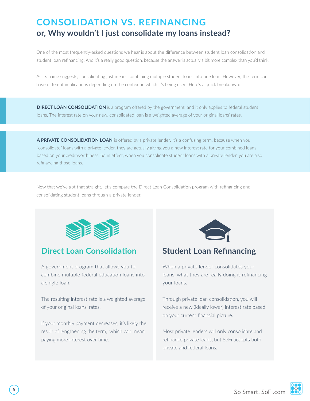# **CONSOLIDATION VS. REFINANCING or, Why wouldn't I just consolidate my loans instead?**

One of the most frequently-asked questions we hear is about the difference between student loan consolidation and student loan refinancing. And it's a really good question, because the answer is actually a bit more complex than you'd think.

As its name suggests, consolidating just means combining multiple student loans into one loan. However, the term can have different implications depending on the context in which it's being used. Here's a quick breakdown:

**DIRECT LOAN CONSOLIDATION** is a program offered by the government, and it only applies to federal student loans. The interest rate on your new, consolidated loan is a weighted average of your original loans' rates.

**A PRIVATE CONSOLIDATION LOAN** is offered by a private lender. It's a confusing term, because when you "consolidate" loans with a private lender, they are actually giving you a new interest rate for your combined loans based on your creditworthiness. So in effect, when you consolidate student loans with a private lender, you are also refinancing those loans.

Now that we've got that straight, let's compare the Direct Loan Consolidation program with refinancing and consolidating student loans through a private lender.



## **Direct Loan Consolidation**

A government program that allows you to combine multiple federal education loans into a single loan.

The resulting interest rate is a weighted average of your original loans' rates.

If your monthly payment decreases, it's likely the result of lengthening the term, which can mean paying more interest over time.



### **Student Loan Refinancing**

When a private lender consolidates your loans, what they are really doing is refinancing your loans.

Through private loan consolidation, you will receive a new (ideally lower) interest rate based on your current financial picture.

Most private lenders will only consolidate and refinance private loans, but SoFi accepts both private and federal loans.

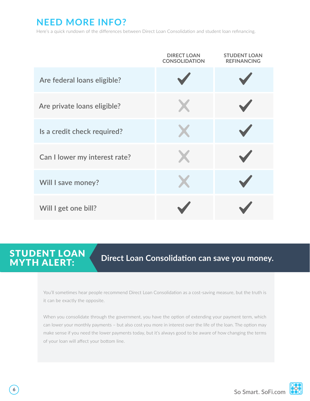# **NEED MORE INFO?**

Here's a quick rundown of the differences between Direct Loan Consolidation and student loan refinancing.

|                               | <b>DIRECT LOAN</b><br><b>CONSOLIDATION</b> | <b>STUDENT LOAN</b><br><b>REFINANCING</b> |
|-------------------------------|--------------------------------------------|-------------------------------------------|
| Are federal loans eligible?   |                                            |                                           |
| Are private loans eligible?   |                                            |                                           |
| Is a credit check required?   | X                                          |                                           |
| Can I lower my interest rate? | X                                          |                                           |
| Will I save money?            |                                            |                                           |
| Will I get one bill?          |                                            |                                           |

# STUDENT LOAN<br>MYTH ALERT:

## Direct Loan Consolidation can save you money.

You'll sometimes hear people recommend Direct Loan Consolidation as a cost-saving measure, but the truth is it can be exactly the opposite.

When you consolidate through the government, you have the option of extending your payment term, which can lower your monthly payments – but also cost you more in interest over the life of the loan. The option may make sense if you need the lower payments today, but it's always good to be aware of how changing the terms of your loan will affect your bottom line.

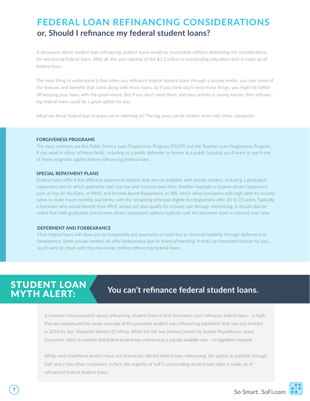## **FEDERAL LOAN REFINANCING CONSIDERATIONS or, Should I refinance my federal student loans?**

A discussion about student loan refinancing student loans would be incomplete without addressing the considerations for refinancing federal loans. After all, the vast majority of the \$1.2 trillion in outstanding education debt is made up of federal loans.

The main thing to understand is that when you refinance federal student loans through a private lender, you lose some of the features and benefits that come along with those loans. So if you think you'll need those things, you might be better off keeping your loans with the government. But if you don't need them, and your priority is saving money, then refinancing federal loans could be a great option for you.

What are these federal loan features we're referring to? The big ones can be broken down into three categories:

#### **FORGIVENESS PROGRAMS**

The most common are the Public Service Loan Forgiveness Program (PSLFP) and the Teacher Loan Forgiveness Program. If you work in either of these fields, including as a public defender or doctor at a public hospital, you'll want to see if one of these programs applies before refinancing federal loans.

#### **SPECIAL REPAYMENT PLANS**

Federal loans offer a few different repayment options that are not available with private lenders, including a graduated repayment plan in which payments start out low and increase over time. Another example is income-driven repayment such as Pay As You Earn, or PAYE, and Income Based Repayment, or IBR, which allow borrowers with high debt-to-income ratios to make lower monthly payments, with the remaining principal eligible for forgiveness after 20 to 25 years. Typically, a borrower who would benefit from PAYE would not also qualify for a lower rate through refinancing. It should also be noted that both graduated and income-driven repayment options typically cost the borrower more in interest over time.

#### **DEFERMENT AND FORBEARANCE**

Most federal loans will allow you to temporarily put payments on hold due to financial hardship through deferment or forbearance. Some private lenders do offer forbearance due to financial hardship. If that's an important feature for you, you'll want to check with the new lender before refinancing federal loans.

# STUDENT LOAN<br>MYTH ALERT:

## You can't refinance federal student loans.

A common misconception about refinancing student loans is that borrowers can't refinance federal loans – a myth that was perpetuated by media coverage of the proposed student loan refinancing legislation that was put forward in 2014 by Sen. Elizabeth Warren (D-Mass). While the bill was blocked (twice) by Senate Republicans, many journalists failed to mention that federal student loan refinancing is actually available now – no legislation required.

While most traditional lenders have not historically offered federal loan refinancing, the option is available through SoFi and a few other companies. In fact, the majority of SoFi's outstanding student loan debt is made up of refinanced federal student loans.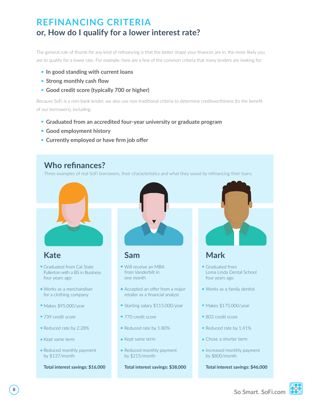## **REFINANCING CRITERIA or, How do I qualify for a lower interest rate?**

The general rule of thumb for any kind of refinancing is that the better shape your finances are in, the more likely you are to qualify for a lower rate. For example, here are a few of the common criteria that many lenders are looking for:

- **In good standing with current loans**
- **Strong monthly cash flow**
- **Good credit score (typically 700 or higher)**

Because SoFi is a non-bank lender, we also use non-traditional criteria to determine creditworthiness (to the benefit of our borrowers), including:

- **Graduated from an accredited four-year university or graduate program**
- **Good employment history**
- **Currently employed or have firm job offer**



Three examples of real SoFi borrowers, their characteristics and what they saved by refinancing their loans.



### **Kate**

- Graduated from Cal State Fullerton with a BS in Business four years ago
- Works as a merchandiser for a clothing company
- Makes \$95,000/year
- 739 credit score
- Reduced rate by 2.28%
- Kept same term
- Reduced monthly payment by \$137/month

**Total interest savings: \$16,000** 



#### **Sam**

- Will receive an MBA from Vanderbilt in one month
- Accepted an offer from a major retailer as a financial analyst
- Starting salary \$115,000/year
- 770 credit score
- Reduced rate by 1.80%
- Kept same term
- Reduced monthly payment by \$215/month
	- **Total interest savings: \$38,000**

## **Mark**

- Graduated from Loma Linda Dental School four years ago
- Works as a family dentist
- **Makes \$175,000/year**
- 803 credit score
- Reduced rate by 1.41%
- **Chose a shorter term**
- **Increased monthly payment** by \$800/month
	- **Total interest savings: \$46,000**

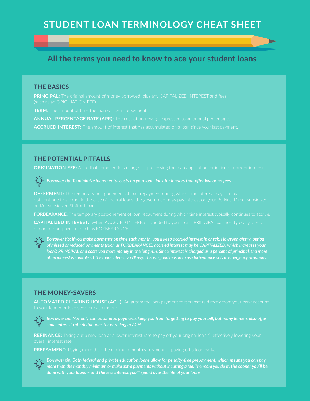# **STUDENT LOAN TERMINOLOGY CHEAT SHEET**

### **All the terms you need to know to ace your student loans**

#### **THE BASICS**

**PRINCIPAL:** The original amount of money borrowed, plus any CAPITALIZED INTEREST and fees

**TERM:** The amount of time the loan will be in repayment.

**ANNUAL PERCENTAGE RATE (APR):** The cost of borrowing, expressed as an annual percentage.

**ACCRUED INTEREST:** The amount of interest that has accumulated on a loan since your last payment.

#### **THE POTENTIAL PITFALLS**

**ORIGINATION FEE:** A fee that some lenders charge for processing the loan application, or in lieu of upfront interest.

*Borrower tip: To minimize incremental costs on your loan, look for lenders that offer low or no fees.*

**DEFERMENT:** The temporary postponement of loan repayment during which time interest may or may

**FORBEARANCE:** The temporary postponement of loan repayment during which time interest typically continues to accrue.

**CAPITALIZED INTEREST:** When ACCRUED INTEREST is added to your loan's PRINCIPAL balance, typically after a



*Borrower tip: If you make payments on time each month, you'll keep accrued interest in check. However, after a period of missed or reduced payments (such as FORBEARANCE), accrued interest may be CAPITALIZED, which increases your loan's PRINCIPAL and costs you more money in the long run. Since interest is charged as a percent of principal, the more often interest is capitalized, the more interest you'll pay. This is a good reason to use forbearance only in emergency situations.*

#### **THE MONEY-SAVERS**

**AUTOMATED CLEARING HOUSE (ACH):** An automatic loan payment that transfers directly from your bank account



**REFINANCE:** Taking out a new loan at a lower interest rate to pay off your original loan(s), effectively lowering your

**PREPAYMENT:** Paying more than the minimum monthly payment or paying off a loan early.



*Borrower tip: Both federal and private education loans allow for penalty-free prepayment, which means you can pay more than the monthly minimum or make extra payments without incurring a fee. The more you do it, the sooner you'll be done with your loans – and the less interest you'll spend over the life of your loans.*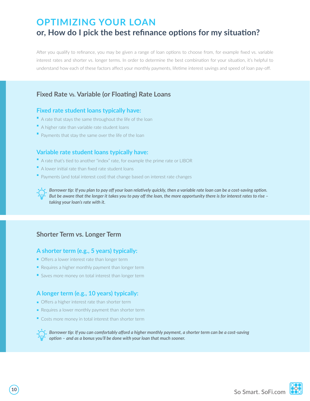## **OPTIMIZING YOUR LOAN or, How do I pick the best refinance options for my situation?**

After you qualify to refinance, you may be given a range of loan options to choose from, for example fixed vs. variable interest rates and shorter vs. longer terms. In order to determine the best combination for your situation, it's helpful to understand how each of these factors affect your monthly payments, lifetime interest savings and speed of loan pay-off.

#### **Fixed Rate Vs. Variable (or Floating) Rate Loans**

#### **Fixed rate student loans typically have:**

- A rate that stays the same throughout the life of the loan
- A higher rate than variable rate student loans
- Payments that stay the same over the life of the loan

#### **Variable rate student loans typically have:**

- A rate that's tied to another "index" rate, for example the prime rate or LIBOR
- A lower initial rate than fixed rate student loans
- Payments (and total interest cost) that change based on interest rate changes

*Borrower tip: If you plan to pay off your loan relatively quickly, then a variable rate loan can be a cost-saving option. But be aware that the longer it takes you to pay off the loan, the more opportunity there is for interest rates to rise – taking your loan's rate with it.*

#### **Shorter Term vs. Longer Term**

#### **A shorter term (e.g., 5 years) typically:**

- Offers a lower interest rate than longer term
- Requires a higher monthly payment than longer term
- Saves more money on total interest than longer term

#### **A longer term (e.g., 10 years) typically:**

- **Offers a higher interest rate than shorter term**
- Requires a lower monthly payment than shorter term
- Costs more money in total interest than shorter term

*Borrower tip: If you can comfortably afford a higher monthly payment, a shorter term can be a cost-saving option – and as a bonus you'll be done with your loan that much sooner.* 

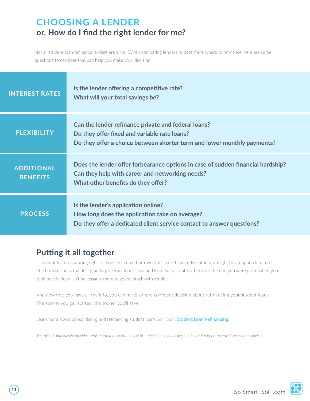## **CHOOSING A LENDER or, How do I find the right lender for me?**

Not all student loan refinance lenders are alike. When comparing lenders to determine where to refinance, here are some questions to consider that can help you make your decision:

| <b>INTEREST RATES</b>                | Is the lender offering a competitive rate?<br>What will your total savings be?                                                                                                 |
|--------------------------------------|--------------------------------------------------------------------------------------------------------------------------------------------------------------------------------|
| <b>FLEXIBILITY</b>                   | Can the lender refinance private and federal loans?<br>Do they offer fixed and variable rate loans?<br>Do they offer a choice between shorter term and lower monthly payments? |
| <b>ADDITIONAL</b><br><b>BENEFITS</b> | Does the lender offer forbearance options in case of sudden financial hardship?<br>Can they help with career and networking needs?<br>What other benefits do they offer?       |
| <b>PROCESS</b>                       | Is the lender's application online?<br>How long does the application take on average?<br>Do they offer a dedicated client service contact to answer questions?                 |

## **Putting it all together**

Is student loan refinancing right for you? For some borrowers, it's a no-brainer. For others, it might be an option later on. The bottom line is that it's good to give your loans a second look every so often, because the rate you were given when you took out the loan isn't necessarily the rate you're stuck with for life.

And now that you have all the info, you can make a more confident decision about refinancing your student loans. The sooner you get started, the sooner you'll save.

Learn more about consolidating and refinancing student loans with SoFi: **[Student Loan Refinancing](https://www.sofi.com/refinance-student-loan/?utm_source=whitepage&utm_medium=pdf&utm_content=student%20loan%20refinancing&utm_campaign=studentrefiguide)**.

*This piece is intended to provide useful information on the subject of student loan refinancing, but does not purport to provide legal or tax advice.*